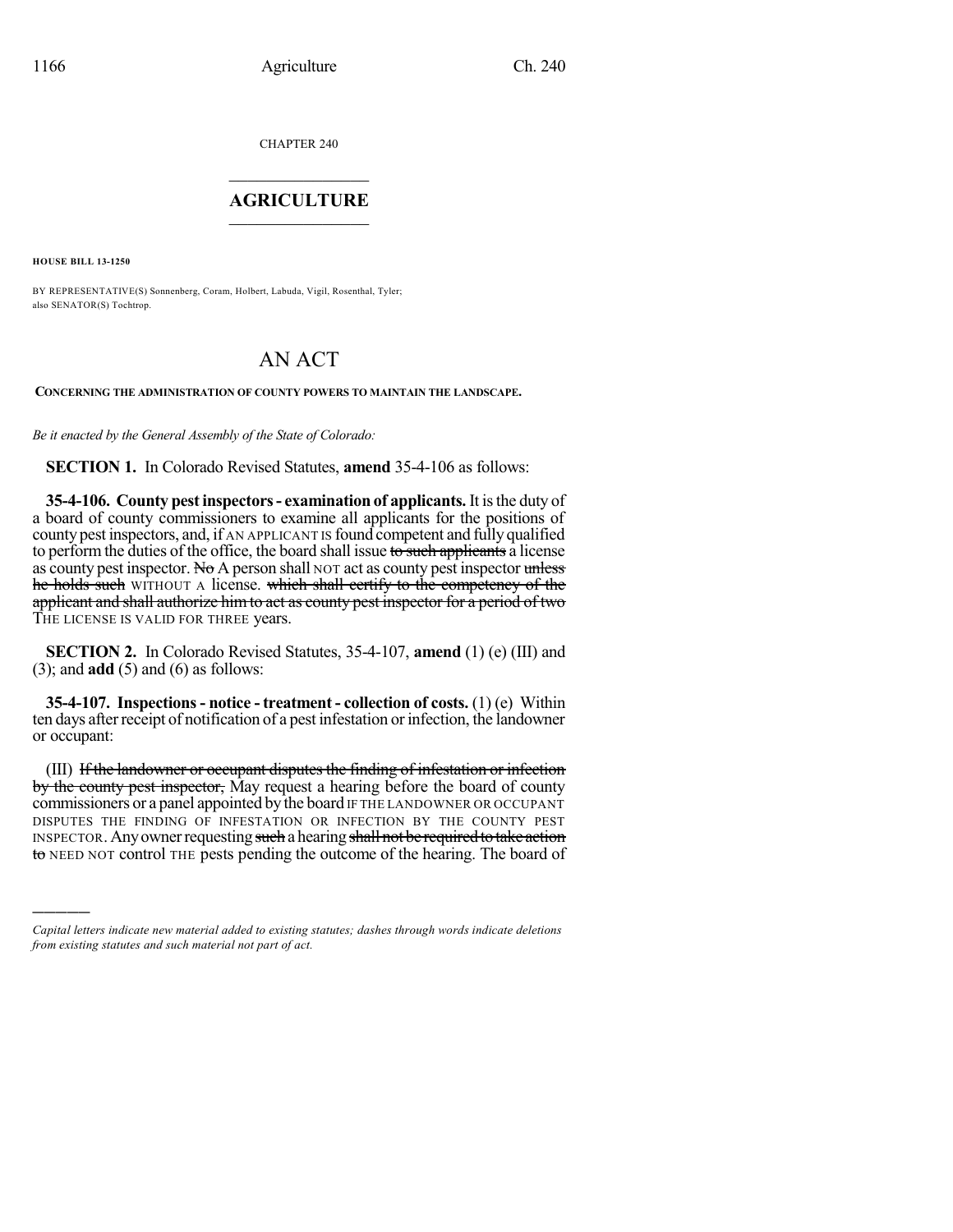CHAPTER 240

## $\mathcal{L}_\text{max}$  . The set of the set of the set of the set of the set of the set of the set of the set of the set of the set of the set of the set of the set of the set of the set of the set of the set of the set of the set **AGRICULTURE**  $\_$   $\_$   $\_$   $\_$   $\_$   $\_$   $\_$   $\_$

**HOUSE BILL 13-1250**

)))))

BY REPRESENTATIVE(S) Sonnenberg, Coram, Holbert, Labuda, Vigil, Rosenthal, Tyler; also SENATOR(S) Tochtrop.

## AN ACT

**CONCERNING THE ADMINISTRATION OF COUNTY POWERS TO MAINTAIN THE LANDSCAPE.**

*Be it enacted by the General Assembly of the State of Colorado:*

**SECTION 1.** In Colorado Revised Statutes, **amend** 35-4-106 as follows:

**35-4-106. County pestinspectors- examination of applicants.** It isthe duty of a board of county commissioners to examine all applicants for the positions of county pest inspectors, and, if AN APPLICANT IS found competent and fully qualified to perform the duties of the office, the board shall issue to such applicants a license as county pest inspector. No A person shall NOT act as county pest inspector unless he holds such WITHOUT A license. which shall certify to the competency of the applicant and shall authorize himto act as county pest inspector for a period of two THE LICENSE IS VALID FOR THREE years.

**SECTION 2.** In Colorado Revised Statutes, 35-4-107, **amend** (1) (e) (III) and (3); and **add** (5) and (6) as follows:

**35-4-107. Inspections- notice - treatment - collection of costs.** (1) (e) Within ten days after receipt of notification of a pest infestation or infection, the landowner or occupant:

(III) If the landowner or occupant disputes the finding of infestation or infection by the county pest inspector, May request a hearing before the board of county commissioners or a panel appointed by the board IF THE LANDOWNER OR OCCUPANT DISPUTES THE FINDING OF INFESTATION OR INFECTION BY THE COUNTY PEST INSPECTOR. Any owner requesting such a hearing shall not be required to take action to NEED NOT control THE pests pending the outcome of the hearing. The board of

*Capital letters indicate new material added to existing statutes; dashes through words indicate deletions from existing statutes and such material not part of act.*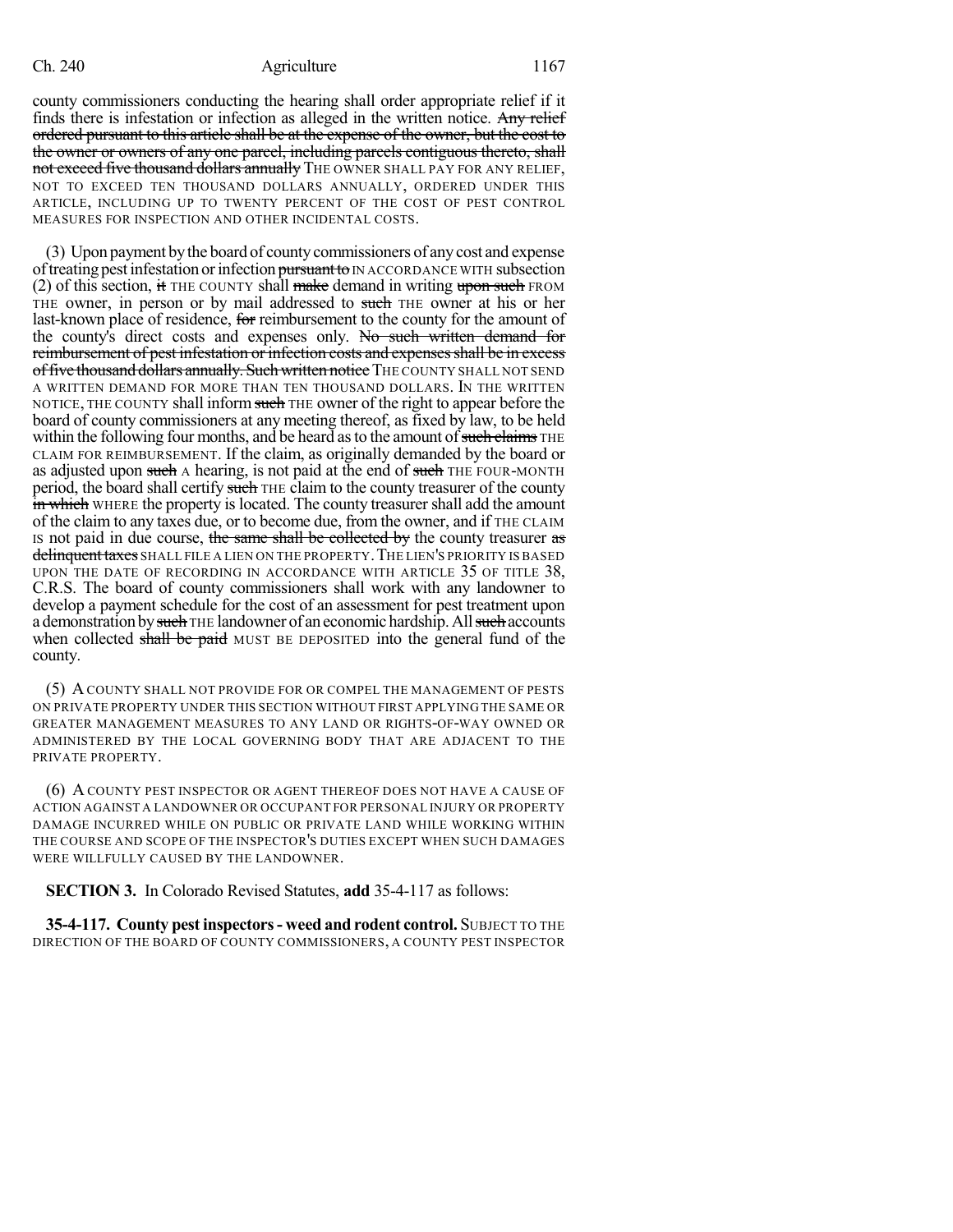## Ch. 240 **Agriculture** 1167

county commissioners conducting the hearing shall order appropriate relief if it finds there is infestation or infection as alleged in the written notice. Any relief ordered pursuant to this article shall be at the expense of the owner, but the cost to the owner or owners of any one parcel, including parcels contiguous thereto, shall not exceed five thousand dollars annually THE OWNER SHALL PAY FOR ANY RELIEF, NOT TO EXCEED TEN THOUSAND DOLLARS ANNUALLY, ORDERED UNDER THIS ARTICLE, INCLUDING UP TO TWENTY PERCENT OF THE COST OF PEST CONTROL MEASURES FOR INSPECTION AND OTHER INCIDENTAL COSTS.

(3) Upon payment bythe board of countycommissioners of anycost and expense of treating pest infestation or infection pursuant to IN ACCORDANCE WITH subsection (2) of this section, it THE COUNTY shall make demand in writing upon such FROM THE owner, in person or by mail addressed to such THE owner at his or her last-known place of residence, for reimbursement to the county for the amount of the county's direct costs and expenses only. No such written demand for reimbursement of pest infestation or infection costs and expenses shall be in excess of five thousand dollars annually. Such written notice THE COUNTY SHALL NOT SEND A WRITTEN DEMAND FOR MORE THAN TEN THOUSAND DOLLARS. IN THE WRITTEN NOTICE, THE COUNTY shall inform such THE owner of the right to appear before the board of county commissioners at any meeting thereof, as fixed by law, to be held within the following four months, and be heard as to the amount of such claims  $THE$ CLAIM FOR REIMBURSEMENT. If the claim, as originally demanded by the board or as adjusted upon such A hearing, is not paid at the end of such THE FOUR-MONTH period, the board shall certify such THE claim to the county treasurer of the county in which WHERE the property is located. The county treasurer shall add the amount of the claim to any taxes due, or to become due, from the owner, and if THE CLAIM IS not paid in due course, the same shall be collected by the county treasurer as delinquent taxes SHALL FILE A LIEN ON THE PROPERTY. THE LIEN'S PRIORITY IS BASED UPON THE DATE OF RECORDING IN ACCORDANCE WITH ARTICLE 35 OF TITLE 38, C.R.S. The board of county commissioners shall work with any landowner to develop a payment schedule for the cost of an assessment for pest treatment upon a demonstration by such THE landowner of an economic hardship. All such accounts when collected shall be paid MUST BE DEPOSITED into the general fund of the county.

(5) ACOUNTY SHALL NOT PROVIDE FOR OR COMPEL THE MANAGEMENT OF PESTS ON PRIVATE PROPERTY UNDER THIS SECTION WITHOUT FIRST APPLYING THE SAME OR GREATER MANAGEMENT MEASURES TO ANY LAND OR RIGHTS-OF-WAY OWNED OR ADMINISTERED BY THE LOCAL GOVERNING BODY THAT ARE ADJACENT TO THE PRIVATE PROPERTY.

(6) A COUNTY PEST INSPECTOR OR AGENT THEREOF DOES NOT HAVE A CAUSE OF ACTION AGAINST A LANDOWNER OR OCCUPANT FOR PERSONAL INJURY OR PROPERTY DAMAGE INCURRED WHILE ON PUBLIC OR PRIVATE LAND WHILE WORKING WITHIN THE COURSE AND SCOPE OF THE INSPECTOR'S DUTIES EXCEPT WHEN SUCH DAMAGES WERE WILLFULLY CAUSED BY THE LANDOWNER.

**SECTION 3.** In Colorado Revised Statutes, **add** 35-4-117 as follows:

**35-4-117. County pest inspectors- weed and rodent control.** SUBJECT TO THE DIRECTION OF THE BOARD OF COUNTY COMMISSIONERS, A COUNTY PEST INSPECTOR